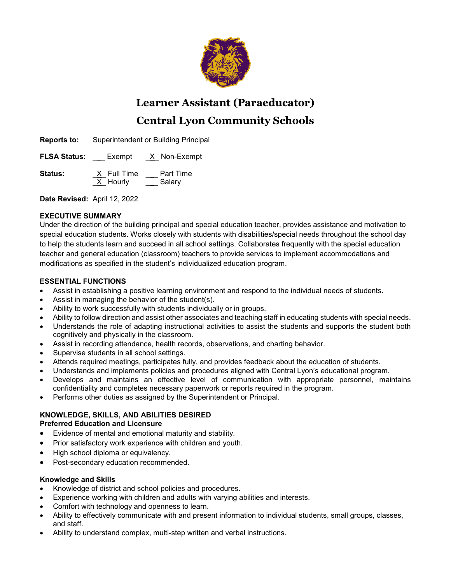

# **Learner Assistant (Paraeducator) Central Lyon Community Schools**

**Reports to:** Superintendent or Building Principal

**FLSA Status:** \_\_\_ Exempt \_X\_ Non-Exempt

**Status:**  $\frac{X}{X}$  Full Time \_\_\_ Part Time<br>X Hourly Salary  $X$  Hourly

**Date Revised:** April 12, 2022

## **EXECUTIVE SUMMARY**

Under the direction of the building principal and special education teacher, provides assistance and motivation to special education students. Works closely with students with disabilities/special needs throughout the school day to help the students learn and succeed in all school settings. Collaborates frequently with the special education teacher and general education (classroom) teachers to provide services to implement accommodations and modifications as specified in the student's individualized education program.

## **ESSENTIAL FUNCTIONS**

- Assist in establishing a positive learning environment and respond to the individual needs of students.
- Assist in managing the behavior of the student(s).
- Ability to work successfully with students individually or in groups.
- Ability to follow direction and assist other associates and teaching staff in educating students with special needs.
- Understands the role of adapting instructional activities to assist the students and supports the student both cognitively and physically in the classroom.
- Assist in recording attendance, health records, observations, and charting behavior.
- Supervise students in all school settings.
- Attends required meetings, participates fully, and provides feedback about the education of students.
- Understands and implements policies and procedures aligned with Central Lyon's educational program.
- Develops and maintains an effective level of communication with appropriate personnel, maintains confidentiality and completes necessary paperwork or reports required in the program.
- Performs other duties as assigned by the Superintendent or Principal.

#### **KNOWLEDGE, SKILLS, AND ABILITIES DESIRED Preferred Education and Licensure**

- Evidence of mental and emotional maturity and stability.
- Prior satisfactory work experience with children and youth.
- High school diploma or equivalency.
- Post-secondary education recommended.

## **Knowledge and Skills**

- Knowledge of district and school policies and procedures.
- Experience working with children and adults with varying abilities and interests.
- Comfort with technology and openness to learn.
- Ability to effectively communicate with and present information to individual students, small groups, classes, and staff.
- Ability to understand complex, multi-step written and verbal instructions.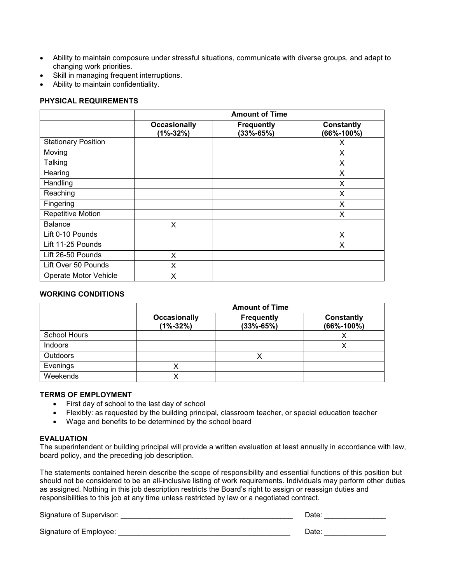- Ability to maintain composure under stressful situations, communicate with diverse groups, and adapt to changing work priorities.
- Skill in managing frequent interruptions.
- Ability to maintain confidentiality.

## **PHYSICAL REQUIREMENTS**

|                            | <b>Amount of Time</b>               |                                      |                                 |
|----------------------------|-------------------------------------|--------------------------------------|---------------------------------|
|                            | <b>Occasionally</b><br>$(1% - 32%)$ | <b>Frequently</b><br>$(33\% - 65\%)$ | <b>Constantly</b><br>(66%-100%) |
| <b>Stationary Position</b> |                                     |                                      | X                               |
| Moving                     |                                     |                                      | X                               |
| Talking                    |                                     |                                      | X                               |
| Hearing                    |                                     |                                      | X                               |
| Handling                   |                                     |                                      | X                               |
| Reaching                   |                                     |                                      | X                               |
| Fingering                  |                                     |                                      | X                               |
| Repetitive Motion          |                                     |                                      | X                               |
| <b>Balance</b>             | X                                   |                                      |                                 |
| Lift 0-10 Pounds           |                                     |                                      | X                               |
| Lift 11-25 Pounds          |                                     |                                      | X                               |
| Lift 26-50 Pounds          | X                                   |                                      |                                 |
| Lift Over 50 Pounds        | X                                   |                                      |                                 |
| Operate Motor Vehicle      | X                                   |                                      |                                 |

#### **WORKING CONDITIONS**

|                     | <b>Amount of Time</b>               |                                    |                                |
|---------------------|-------------------------------------|------------------------------------|--------------------------------|
|                     | <b>Occasionally</b><br>$(1% - 32%)$ | <b>Frequently</b><br>$(33% - 65%)$ | Constantly<br>$(66\% - 100\%)$ |
| <b>School Hours</b> |                                     |                                    |                                |
| Indoors             |                                     |                                    |                                |
| <b>Outdoors</b>     |                                     |                                    |                                |
| Evenings            |                                     |                                    |                                |
| Weekends            |                                     |                                    |                                |

#### **TERMS OF EMPLOYMENT**

- First day of school to the last day of school
- Flexibly: as requested by the building principal, classroom teacher, or special education teacher
- Wage and benefits to be determined by the school board

#### **EVALUATION**

The superintendent or building principal will provide a written evaluation at least annually in accordance with law, board policy, and the preceding job description.

The statements contained herein describe the scope of responsibility and essential functions of this position but should not be considered to be an all-inclusive listing of work requirements. Individuals may perform other duties as assigned. Nothing in this job description restricts the Board's right to assign or reassign duties and responsibilities to this job at any time unless restricted by law or a negotiated contract.

| Signature of Supervisor: | Date  |
|--------------------------|-------|
| Signature of Employee:   | Date. |